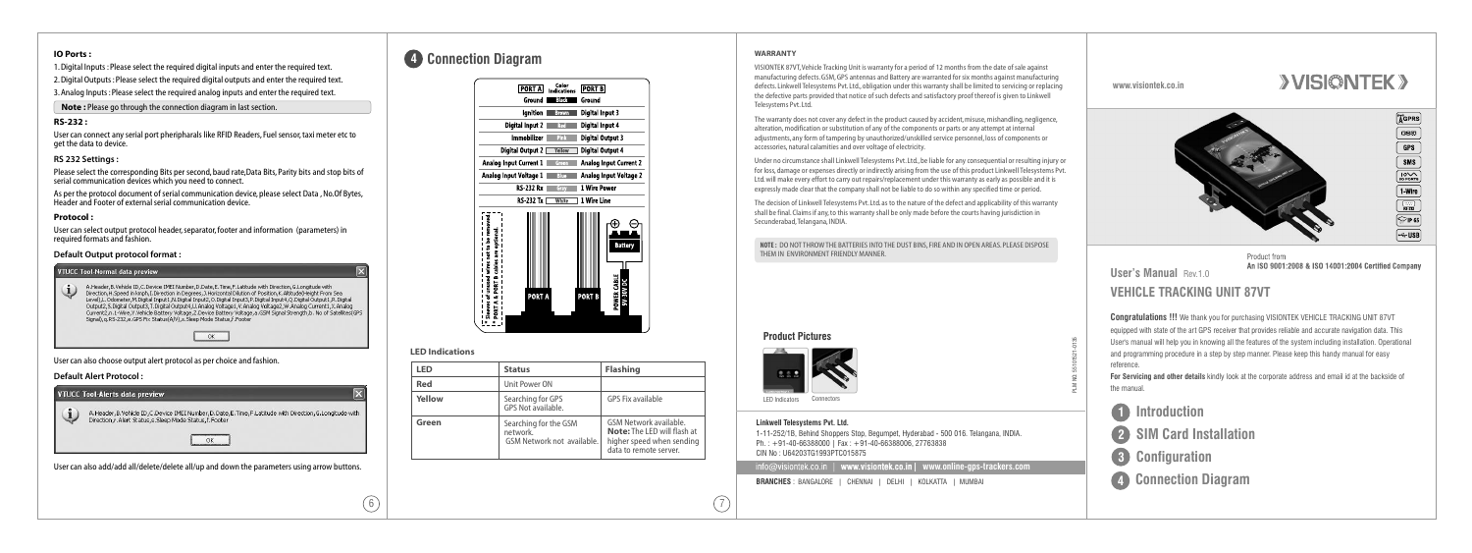#### **www.visiontek.co.in**

# **User's Manual** Rev.1.0

## **VEHICLE TRACKING UNIT 87VT**

**Congratulations !!!** We thank you for purchasing VISIONTEK VEHICLE TRACKING UNIT 87VT equipped with state of the art GPS receiver that provides reliable and accurate navigation data. This User's manual will help you in knowing all the features of the system including installation. Operational and programming procedure in a step by step manner. Please keep this handy manual for easy

1-11-252/1B, Behind Shoppers Stop, Begumpet, Hyderabad - 500 016. Telangana, INDIA. Ph. : +91-40-66388000 | Fax : +91-40-66388006, 27763838 CIN No : U64203TG1993PTC015875 **info@visiontek.co.in | www.visiontek.co.in| www.online-gps-trackers.com**  **For Servicing and other details** kindly look at the corporate address and email id at the backside of

reference. the manual.

## **Product Pictures**



PLM NO: 55101521-0135







Product from An ISO 9001:2008 & ISO 14001:2004 Certified Company

## **Linkwell Telesystems Pvt. Ltd.**

- **1 Introduction 2 SIM Card Installation 3 Configuration**
- **4 Connection Diagram**

**BRANCHES** : BANGALORE | CHENNAI | DELHI | KOLKATTA | MUMBAI

## **IO Ports :**

1. Digital Inputs : Please select the required digital inputs and enter the required text.

2. Digital Outputs : Please select the required digital outputs and enter the required text. 3. Analog Inputs : Please select the required analog inputs and enter the required text.

 **Note :** Please go through the connection diagram in last section.

## **RS-232 :**

User can connect any serial port pheripharals like RFID Readers, Fuel sensor, taxi meter etc to get the data to device.

## **RS 232 Settings :**

Please select the corresponding Bits per second, baud rate,Data Bits, Parity bits and stop bits of serial communication devices which you need to connect.

As per the protocol document of serial communication device, please select Data , No.Of Bytes, Header and Footer of external serial communication device.

## **Protocol :**

User can select output protocol header, separator, footer and information (parameters) in required formats and fashion.

## **Default Output protocol format :**

| A.Header.B.Vehicle ID.C.Device IMEI Number.D.Date.E.Time.F.Latitude with Direction.G.Longitude with<br>Direction.H.Speed in kmph.I.Direction in Degrees, J.Horizontal Dilution of Position.K.Altitude(Height From Sea<br>Level),L.Odometer,M.Digital Input1,N.Digital Input2,O.Digital Input3,P.Digital Input4,Q.Digital Output1,R.Digital<br>Output2.5.Digital Output3.T.Digital Output4.U.Analog Voltage1.V.Analog Voltage2.W.Analog Current1.X.Analog<br>Current2.n.1-Wire.Y.Vehicle Battery Voltage.Z.Device Battery Voltage.a.GSM Signal Strength.b. No of Satellites(GPS<br>Signal), g.RS-232, e.GPS Fix Status(A/V), s. Sleep Mode Status, f.Footer |
|------------------------------------------------------------------------------------------------------------------------------------------------------------------------------------------------------------------------------------------------------------------------------------------------------------------------------------------------------------------------------------------------------------------------------------------------------------------------------------------------------------------------------------------------------------------------------------------------------------------------------------------------------------|
| OK                                                                                                                                                                                                                                                                                                                                                                                                                                                                                                                                                                                                                                                         |

User can also choose output alert protocol as per choice and fashion.

## **Default Alert Protocol :**

| A.Header, B.Vehicle ID, C.Device IMEI Number, D.Date, E.Time, F.Latitude with Direction, G.Longitude with<br>Direction, r. Alert Status, s. Sleep Mode Status, f. Footer |
|--------------------------------------------------------------------------------------------------------------------------------------------------------------------------|
|                                                                                                                                                                          |
|                                                                                                                                                                          |

## **4 Connection Diagram**



## **LED Indications**

| LED    | <b>Status</b>                                                   | <b>Flashing</b>                                                                                                     |
|--------|-----------------------------------------------------------------|---------------------------------------------------------------------------------------------------------------------|
| Red    | Unit Power ON                                                   |                                                                                                                     |
| Yellow | Searching for GPS<br>GPS Not available.                         | GPS Fix available                                                                                                   |
| Green  | Searching for the GSM<br>network.<br>GSM Network not available. | GSM Network available.<br><b>Note:</b> The LED will flash at<br>higher speed when sending<br>data to remote server. |

 $6)$  |  $(7$ 

#### **WARRANTY**

VISIONTEK 87VT,Vehicle Tracking Unit is warranty for a period of 12 months from the date of sale against manufacturing defects. GSM, GPS antennas and Battery are warranted for six months against manufacturing defects. Linkwell Telesystems Pvt. Ltd., obligation under this warranty shall be limited to servicing or replacing the defective parts provided that notice of such defects and satisfactory proof thereof is given to Linkwell Telesystems Pvt. Ltd.

The warranty does not cover any defect in the product caused by accident, misuse, mishandling, negligence, alteration, modification or substitution of any of the components or parts or any attempt at internal adjustments, any form of tampering by unauthorized/unskilled service personnel, loss of components or accessories, natural calamities and over voltage of electricity.

Under no circumstance shall Linkwell Telesystems Pvt. Ltd., be liable for any consequential or resulting injury or for loss, damage or expenses directly or indirectly arising from the use of this product Linkwell Telesystems Pvt. Ltd. will make every effort to carry out repairs/replacement under this warranty as early as possible and it is expressly made clear that the company shall not be liable to do so within any specified time or period.

The decision of Linkwell Telesystems Pvt. Ltd. as to the nature of the defect and applicability of this warranty shall be final. Claims if any, to this warranty shall be only made before the courts having jurisdiction in Secunderabad,Telangana, INDIA.

**NOTE :** DO NOT THROW THE BATTERIES INTO THE DUST BINS, FIRE AND IN OPEN AREAS. PLEASE DISPOSE THEM IN ENVIRONMENT FRIENDLY MANNER.